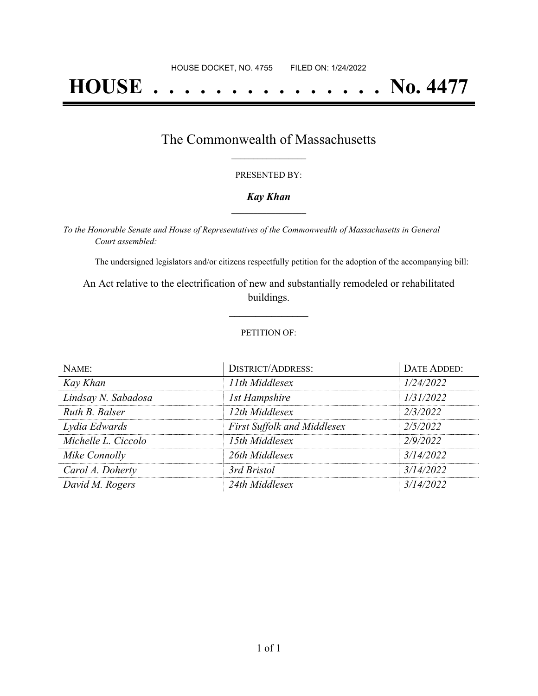# **HOUSE . . . . . . . . . . . . . . . No. 4477**

### The Commonwealth of Massachusetts **\_\_\_\_\_\_\_\_\_\_\_\_\_\_\_\_\_**

#### PRESENTED BY:

#### *Kay Khan* **\_\_\_\_\_\_\_\_\_\_\_\_\_\_\_\_\_**

*To the Honorable Senate and House of Representatives of the Commonwealth of Massachusetts in General Court assembled:*

The undersigned legislators and/or citizens respectfully petition for the adoption of the accompanying bill:

An Act relative to the electrification of new and substantially remodeled or rehabilitated buildings.

**\_\_\_\_\_\_\_\_\_\_\_\_\_\_\_**

#### PETITION OF:

| NAME:               | <b>DISTRICT/ADDRESS:</b>           | DATE ADDED: |
|---------------------|------------------------------------|-------------|
| Kay Khan            | 11th Middlesex                     | 1/24/2022   |
| Lindsay N. Sabadosa | <b>1st Hampshire</b>               | 1/31/2022   |
| Ruth B. Balser      | 12th Middlesex                     | 2/3/2022    |
| Lydia Edwards       | <b>First Suffolk and Middlesex</b> | 2/5/2022    |
| Michelle L. Ciccolo | 15th Middlesex                     | 2/9/2022    |
| Mike Connolly       | 26th Middlesex                     | 3/14/2022   |
| Carol A. Doherty    | 3rd Bristol                        | 3/14/2022   |
| David M. Rogers     | 24th Middlesex                     | 3/14/2022   |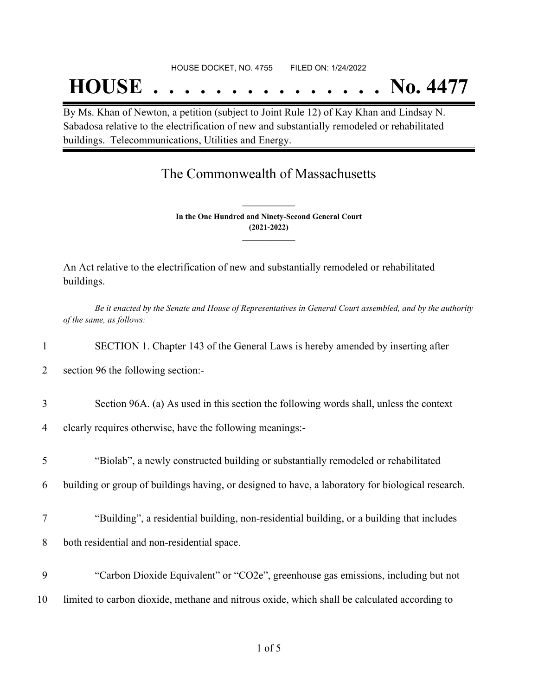## **HOUSE . . . . . . . . . . . . . . . No. 4477**

By Ms. Khan of Newton, a petition (subject to Joint Rule 12) of Kay Khan and Lindsay N. Sabadosa relative to the electrification of new and substantially remodeled or rehabilitated buildings. Telecommunications, Utilities and Energy.

## The Commonwealth of Massachusetts

**In the One Hundred and Ninety-Second General Court (2021-2022) \_\_\_\_\_\_\_\_\_\_\_\_\_\_\_**

**\_\_\_\_\_\_\_\_\_\_\_\_\_\_\_**

An Act relative to the electrification of new and substantially remodeled or rehabilitated buildings.

Be it enacted by the Senate and House of Representatives in General Court assembled, and by the authority *of the same, as follows:*

 SECTION 1. Chapter 143 of the General Laws is hereby amended by inserting after section 96 the following section:- Section 96A. (a) As used in this section the following words shall, unless the context clearly requires otherwise, have the following meanings:- "Biolab", a newly constructed building or substantially remodeled or rehabilitated building or group of buildings having, or designed to have, a laboratory for biological research. "Building", a residential building, non-residential building, or a building that includes both residential and non-residential space.  "Carbon Dioxide Equivalent" or "CO2e", greenhouse gas emissions, including but not limited to carbon dioxide, methane and nitrous oxide, which shall be calculated according to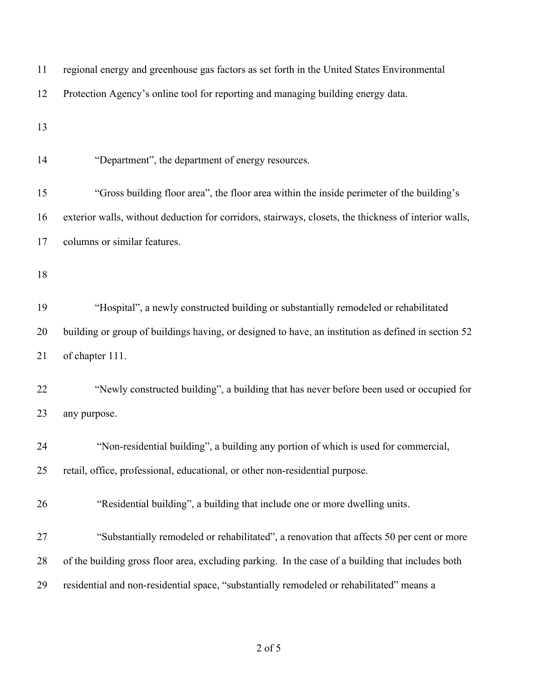| 11 | regional energy and greenhouse gas factors as set forth in the United States Environmental            |
|----|-------------------------------------------------------------------------------------------------------|
| 12 | Protection Agency's online tool for reporting and managing building energy data.                      |
| 13 |                                                                                                       |
| 14 | "Department", the department of energy resources.                                                     |
| 15 | "Gross building floor area", the floor area within the inside perimeter of the building's             |
| 16 | exterior walls, without deduction for corridors, stairways, closets, the thickness of interior walls, |
| 17 | columns or similar features.                                                                          |
| 18 |                                                                                                       |
| 19 | "Hospital", a newly constructed building or substantially remodeled or rehabilitated                  |
| 20 | building or group of buildings having, or designed to have, an institution as defined in section 52   |
| 21 | of chapter 111.                                                                                       |
| 22 | "Newly constructed building", a building that has never before been used or occupied for              |
| 23 | any purpose.                                                                                          |
| 24 | "Non-residential building", a building any portion of which is used for commercial,                   |
| 25 | retail, office, professional, educational, or other non-residential purpose.                          |
| 26 | "Residential building", a building that include one or more dwelling units.                           |
| 27 | "Substantially remodeled or rehabilitated", a renovation that affects 50 per cent or more             |
| 28 | of the building gross floor area, excluding parking. In the case of a building that includes both     |
| 29 | residential and non-residential space, "substantially remodeled or rehabilitated" means a             |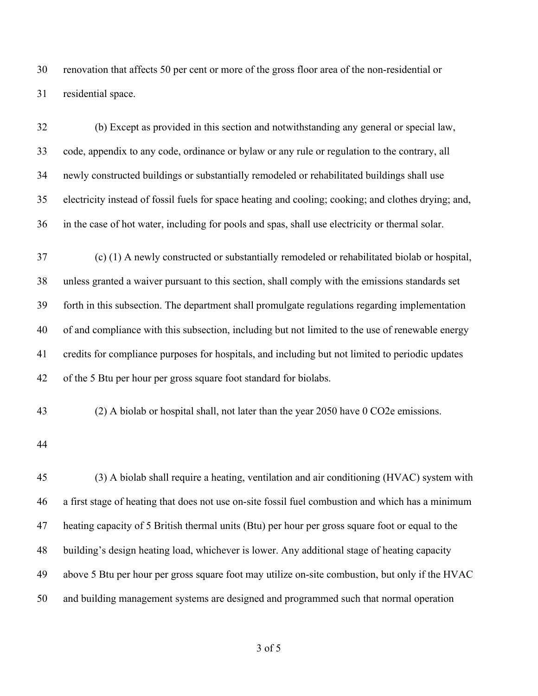renovation that affects 50 per cent or more of the gross floor area of the non-residential or residential space.

 (b) Except as provided in this section and notwithstanding any general or special law, code, appendix to any code, ordinance or bylaw or any rule or regulation to the contrary, all newly constructed buildings or substantially remodeled or rehabilitated buildings shall use electricity instead of fossil fuels for space heating and cooling; cooking; and clothes drying; and, in the case of hot water, including for pools and spas, shall use electricity or thermal solar.

 (c) (1) A newly constructed or substantially remodeled or rehabilitated biolab or hospital, unless granted a waiver pursuant to this section, shall comply with the emissions standards set forth in this subsection. The department shall promulgate regulations regarding implementation of and compliance with this subsection, including but not limited to the use of renewable energy credits for compliance purposes for hospitals, and including but not limited to periodic updates of the 5 Btu per hour per gross square foot standard for biolabs.

(2) A biolab or hospital shall, not later than the year 2050 have 0 CO2e emissions.

 (3) A biolab shall require a heating, ventilation and air conditioning (HVAC) system with a first stage of heating that does not use on-site fossil fuel combustion and which has a minimum heating capacity of 5 British thermal units (Btu) per hour per gross square foot or equal to the building's design heating load, whichever is lower. Any additional stage of heating capacity above 5 Btu per hour per gross square foot may utilize on-site combustion, but only if the HVAC and building management systems are designed and programmed such that normal operation

of 5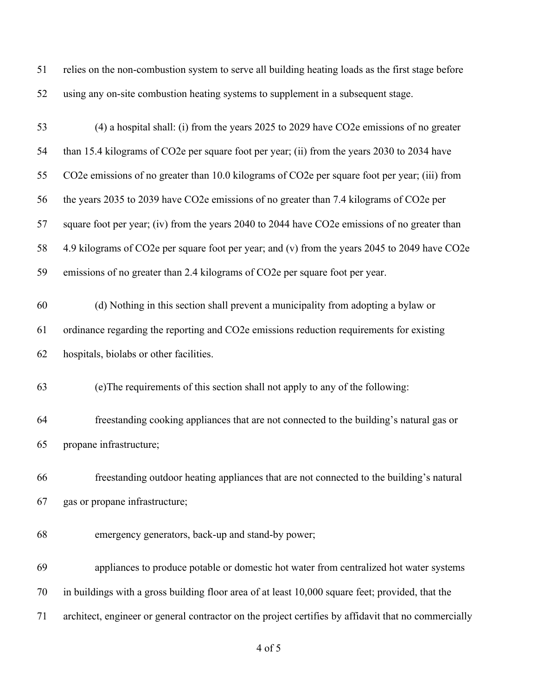relies on the non-combustion system to serve all building heating loads as the first stage before using any on-site combustion heating systems to supplement in a subsequent stage.

 (4) a hospital shall: (i) from the years 2025 to 2029 have CO2e emissions of no greater than 15.4 kilograms of CO2e per square foot per year; (ii) from the years 2030 to 2034 have CO2e emissions of no greater than 10.0 kilograms of CO2e per square foot per year; (iii) from the years 2035 to 2039 have CO2e emissions of no greater than 7.4 kilograms of CO2e per square foot per year; (iv) from the years 2040 to 2044 have CO2e emissions of no greater than 4.9 kilograms of CO2e per square foot per year; and (v) from the years 2045 to 2049 have CO2e emissions of no greater than 2.4 kilograms of CO2e per square foot per year. (d) Nothing in this section shall prevent a municipality from adopting a bylaw or ordinance regarding the reporting and CO2e emissions reduction requirements for existing hospitals, biolabs or other facilities. (e)The requirements of this section shall not apply to any of the following: freestanding cooking appliances that are not connected to the building's natural gas or propane infrastructure; freestanding outdoor heating appliances that are not connected to the building's natural gas or propane infrastructure; emergency generators, back-up and stand-by power; appliances to produce potable or domestic hot water from centralized hot water systems in buildings with a gross building floor area of at least 10,000 square feet; provided, that the architect, engineer or general contractor on the project certifies by affidavit that no commercially